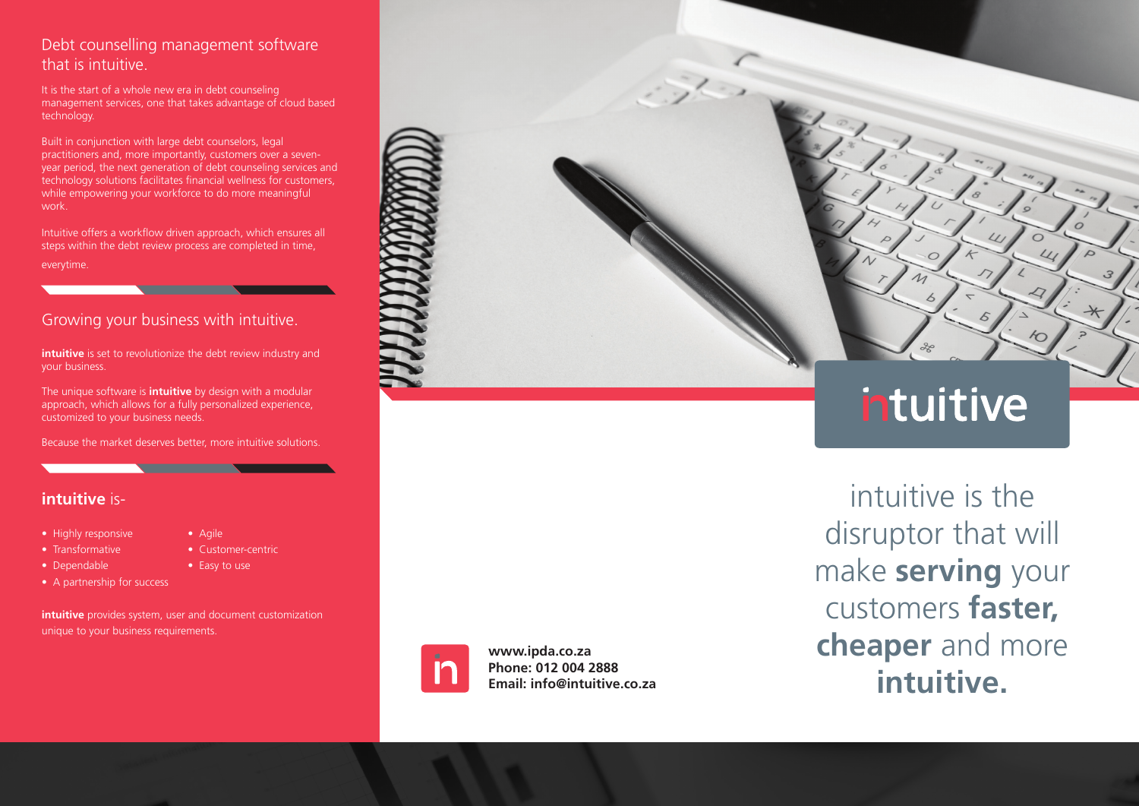## Debt counselling management software that is intuitive.

It is the start of a whole new era in debt counseling management services, one that takes advantage of cloud based technology.

Built in conjunction with large debt counselors, legal practitioners and, more importantly, customers over a sevenyear period, the next generation of debt counseling services and technology solutions facilitates financial wellness for customers, while empowering your workforce to do more meaningful work.

Intuitive offers a workflow driven approach, which ensures all steps within the debt review process are completed in time, everytime.

## Growing your business with intuitive.

**intuitive** is set to revolutionize the debt review industry and your business.

The unique software is **intuitive** by design with a modular approach, which allows for a fully personalized experience, customized to your business needs.

Because the market deserves better, more intuitive solutions.

## **intuitive** is-

- Highly responsive Agile
- 
- Dependable  **Easy to use**
- Transformative Customer-centric
	-
- A partnership for success

**intuitive** provides system, user and document customization unique to your business requirements.



# intuitive

intuitive is the disruptor that will make **serving** your customers **faster, cheaper** and more **intuitive.**



**www.ipda.co.za Phone: 012 004 2888 Email: info@intuitive.co.za**